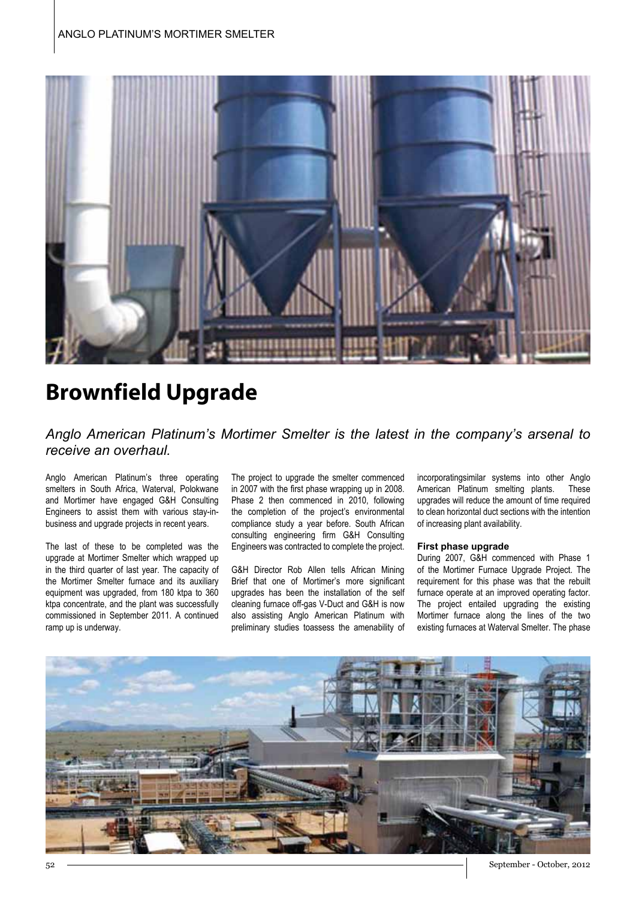

# **Brownfield Upgrade**

### *Anglo American Platinum's Mortimer Smelter is the latest in the company's arsenal to receive an overhaul.*

Anglo American Platinum's three operating smelters in South Africa, Waterval, Polokwane and Mortimer have engaged G&H Consulting Engineers to assist them with various stay-inbusiness and upgrade projects in recent years.

The last of these to be completed was the upgrade at Mortimer Smelter which wrapped up in the third quarter of last year. The capacity of the Mortimer Smelter furnace and its auxiliary equipment was upgraded, from 180 ktpa to 360 ktpa concentrate, and the plant was successfully commissioned in September 2011. A continued ramp up is underway.

The project to upgrade the smelter commenced in 2007 with the first phase wrapping up in 2008. Phase 2 then commenced in 2010, following the completion of the project's environmental compliance study a year before. South African consulting engineering firm G&H Consulting Engineers was contracted to complete the project.

G&H Director Rob Allen tells African Mining Brief that one of Mortimer's more significant upgrades has been the installation of the self cleaning furnace off-gas V-Duct and G&H is now also assisting Anglo American Platinum with preliminary studies toassess the amenability of

incorporatingsimilar systems into other Anglo American Platinum smelting plants. These upgrades will reduce the amount of time required to clean horizontal duct sections with the intention of increasing plant availability.

#### **First phase upgrade**

During 2007, G&H commenced with Phase 1 of the Mortimer Furnace Upgrade Project. The requirement for this phase was that the rebuilt furnace operate at an improved operating factor. The project entailed upgrading the existing Mortimer furnace along the lines of the two existing furnaces at Waterval Smelter. The phase



52 September - October, 2012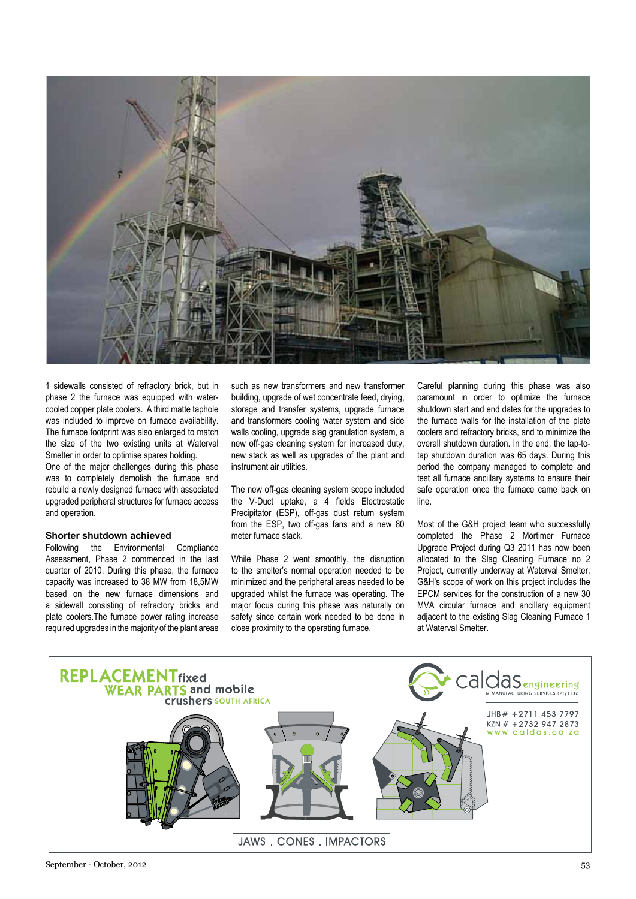

1 sidewalls consisted of refractory brick, but in phase 2 the furnace was equipped with watercooled copper plate coolers. A third matte taphole was included to improve on furnace availability. The furnace footprint was also enlarged to match the size of the two existing units at Waterval Smelter in order to optimise spares holding.

One of the major challenges during this phase was to completely demolish the furnace and rebuild a newly designed furnace with associated upgraded peripheral structures for furnace access and operation.

#### **Shorter shutdown achieved**

Following the Environmental Compliance Assessment, Phase 2 commenced in the last quarter of 2010. During this phase, the furnace capacity was increased to 38 MW from 18,5MW based on the new furnace dimensions and a sidewall consisting of refractory bricks and plate coolers.The furnace power rating increase required upgrades in the majority of the plant areas such as new transformers and new transformer building, upgrade of wet concentrate feed, drying, storage and transfer systems, upgrade furnace and transformers cooling water system and side walls cooling, upgrade slag granulation system, a new off-gas cleaning system for increased duty, new stack as well as upgrades of the plant and instrument air utilities.

The new off-gas cleaning system scope included the V-Duct uptake, a 4 fields Electrostatic Precipitator (ESP), off-gas dust return system from the ESP, two off-gas fans and a new 80 meter furnace stack.

While Phase 2 went smoothly, the disruption to the smelter's normal operation needed to be minimized and the peripheral areas needed to be upgraded whilst the furnace was operating. The major focus during this phase was naturally on safety since certain work needed to be done in close proximity to the operating furnace.

Careful planning during this phase was also paramount in order to optimize the furnace shutdown start and end dates for the upgrades to the furnace walls for the installation of the plate coolers and refractory bricks, and to minimize the overall shutdown duration. In the end, the tap-totap shutdown duration was 65 days. During this period the company managed to complete and test all furnace ancillary systems to ensure their safe operation once the furnace came back on line.

Most of the G&H project team who successfully completed the Phase 2 Mortimer Furnace Upgrade Project during Q3 2011 has now been allocated to the Slag Cleaning Furnace no 2 Project, currently underway at Waterval Smelter. G&H's scope of work on this project includes the EPCM services for the construction of a new 30 MVA circular furnace and ancillary equipment adjacent to the existing Slag Cleaning Furnace 1 at Waterval Smelter.